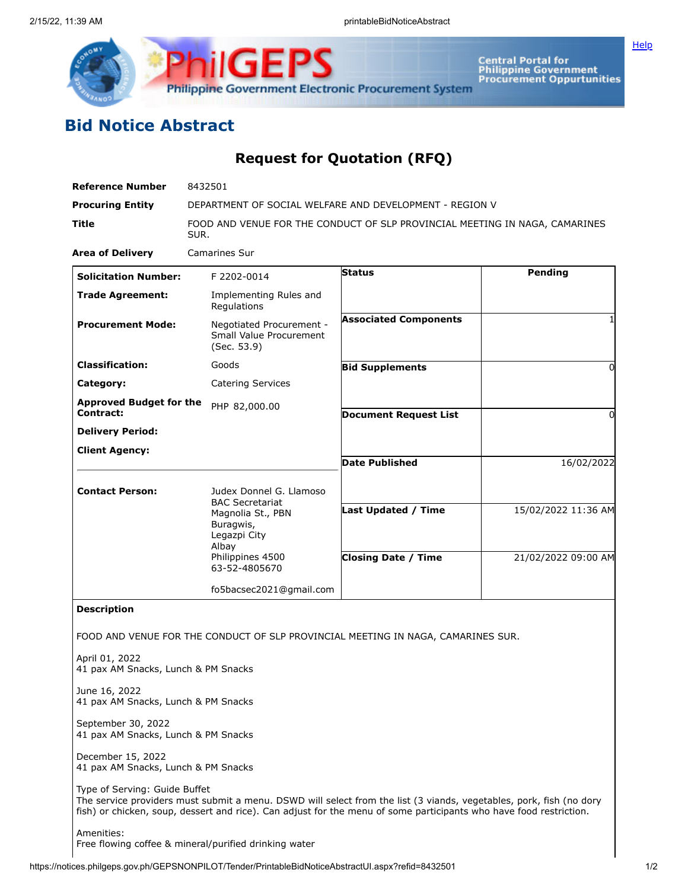

**Central Portal for<br>Philippine Government<br>Procurement Oppurtunities** 

**[Help](javascript:void(window.open()** 

## **Bid Notice Abstract**

## **Request for Quotation (RFQ)**

| <b>Reference Number</b>                                   | 8432501                                                                             |                                                                                                                                                                                                                                           |                     |
|-----------------------------------------------------------|-------------------------------------------------------------------------------------|-------------------------------------------------------------------------------------------------------------------------------------------------------------------------------------------------------------------------------------------|---------------------|
| <b>Procuring Entity</b>                                   | DEPARTMENT OF SOCIAL WELFARE AND DEVELOPMENT - REGION V                             |                                                                                                                                                                                                                                           |                     |
| Title                                                     | FOOD AND VENUE FOR THE CONDUCT OF SLP PROVINCIAL MEETING IN NAGA, CAMARINES<br>SUR. |                                                                                                                                                                                                                                           |                     |
| <b>Area of Delivery</b>                                   | Camarines Sur                                                                       |                                                                                                                                                                                                                                           |                     |
| <b>Solicitation Number:</b>                               | F 2202-0014                                                                         | <b>Status</b>                                                                                                                                                                                                                             | <b>Pending</b>      |
| <b>Trade Agreement:</b>                                   | Implementing Rules and<br>Regulations                                               |                                                                                                                                                                                                                                           |                     |
| <b>Procurement Mode:</b>                                  | Negotiated Procurement -<br>Small Value Procurement<br>(Sec. 53.9)                  | <b>Associated Components</b>                                                                                                                                                                                                              |                     |
| <b>Classification:</b>                                    | Goods                                                                               | <b>Bid Supplements</b>                                                                                                                                                                                                                    | 0                   |
| Category:                                                 | <b>Catering Services</b>                                                            |                                                                                                                                                                                                                                           |                     |
| <b>Approved Budget for the</b>                            | PHP 82,000.00                                                                       |                                                                                                                                                                                                                                           |                     |
| Contract:                                                 |                                                                                     | <b>Document Request List</b>                                                                                                                                                                                                              | 0                   |
| <b>Delivery Period:</b>                                   |                                                                                     |                                                                                                                                                                                                                                           |                     |
| <b>Client Agency:</b>                                     |                                                                                     | <b>Date Published</b>                                                                                                                                                                                                                     | 16/02/2022          |
|                                                           |                                                                                     |                                                                                                                                                                                                                                           |                     |
| <b>Contact Person:</b>                                    | Judex Donnel G. Llamoso                                                             |                                                                                                                                                                                                                                           |                     |
|                                                           | <b>BAC Secretariat</b><br>Magnolia St., PBN<br>Buragwis,<br>Legazpi City<br>Albay   | <b>Last Updated / Time</b>                                                                                                                                                                                                                | 15/02/2022 11:36 AM |
|                                                           | Philippines 4500<br>63-52-4805670                                                   | <b>Closing Date / Time</b>                                                                                                                                                                                                                | 21/02/2022 09:00 AM |
|                                                           | fo5bacsec2021@gmail.com                                                             |                                                                                                                                                                                                                                           |                     |
| <b>Description</b>                                        |                                                                                     |                                                                                                                                                                                                                                           |                     |
|                                                           |                                                                                     | FOOD AND VENUE FOR THE CONDUCT OF SLP PROVINCIAL MEETING IN NAGA, CAMARINES SUR.                                                                                                                                                          |                     |
| April 01, 2022<br>41 pax AM Snacks, Lunch & PM Snacks     |                                                                                     |                                                                                                                                                                                                                                           |                     |
| June 16, 2022<br>41 pax AM Snacks, Lunch & PM Snacks      |                                                                                     |                                                                                                                                                                                                                                           |                     |
| September 30, 2022<br>41 pax AM Snacks, Lunch & PM Snacks |                                                                                     |                                                                                                                                                                                                                                           |                     |
| December 15, 2022<br>41 pax AM Snacks, Lunch & PM Snacks  |                                                                                     |                                                                                                                                                                                                                                           |                     |
| Type of Serving: Guide Buffet                             |                                                                                     | The service providers must submit a menu. DSWD will select from the list (3 viands, vegetables, pork, fish (no dory<br>fish) or chicken, soup, dessert and rice). Can adjust for the menu of some participants who have food restriction. |                     |
| Amenities:                                                |                                                                                     |                                                                                                                                                                                                                                           |                     |

Free flowing coffee & mineral/purified drinking water